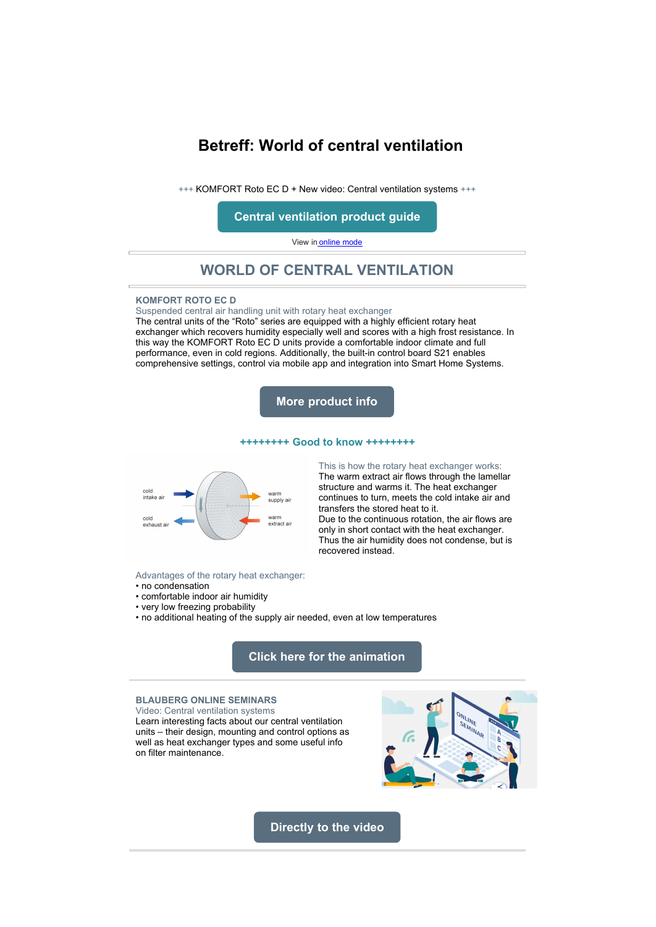# <span id="page-0-0"></span>**Betreff: World of central ventilation**

+++ KOMFORT Roto EC D + New video: Central ventilation systems +++

**[Central ventilation product guide](http://www.blaubergdata.de/Flyer/Produktnavigator%20zentral_EN.pdf)**

View in [online mode](#page-0-0)

# **WORLD OF CENTRAL VENTILATION**

### **KOMFORT ROTO EC D**

Suspended central air handling unit with rotary heat exchanger

The central units of the "Roto" series are equipped with a highly efficient rotary heat exchanger which recovers humidity especially well and scores with a high frost resistance. In this way the KOMFORT Roto EC D units provide a comfortable indoor climate and full performance, even in cold regions. Additionally, the built-in control board S21 enables comprehensive settings, control via mobile app and integration into Smart Home Systems.



#### **++++++++ Good to know ++++++++**

recovered instead.



### This is how the rotary heat exchanger works:

The warm extract air flows through the lamellar structure and warms it. The heat exchanger continues to turn, meets the cold intake air and transfers the stored heat to it. Due to the continuous rotation, the air flows are only in short contact with the heat exchanger. Thus the air humidity does not condense, but is

#### Advantages of the rotary heat exchanger:

- no condensation
- comfortable indoor air humidity
- very low freezing probability
- no additional heating of the supply air needed, even at low temperatures

## **[Click here for the animation](http://www.blaubergdata.de/Whitepaper/Komp%202.mp4)**

### **BLAUBERG ONLINE SEMINARS**

Video: Central ventilation systems Learn interesting facts about our central ventilation units – their design, mounting and control options as well as heat exchanger types and some useful info on filter maintenance.



**[Directly to the video](https://www.youtube.com/watch?v=GIryRIwA3Ys)**